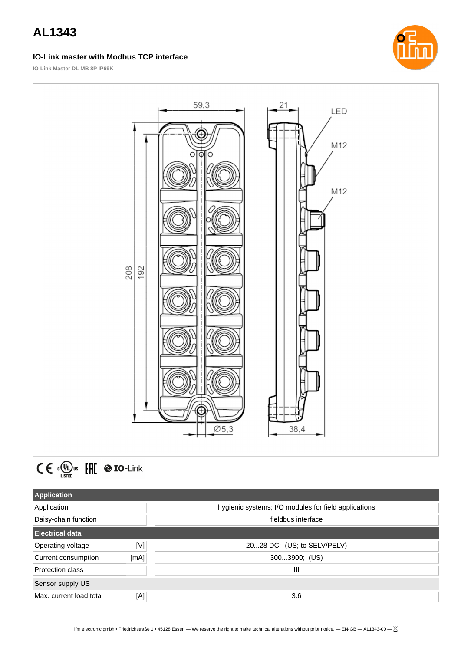### **IO-Link master with Modbus TCP interface**



**IO-Link Master DL MB 8P IP69K**





| <b>Application</b>      |      |                                                      |  |
|-------------------------|------|------------------------------------------------------|--|
| Application             |      | hygienic systems; I/O modules for field applications |  |
| Daisy-chain function    |      | fieldbus interface                                   |  |
| <b>Electrical data</b>  |      |                                                      |  |
| Operating voltage       | [V]  | 2028 DC; (US; to SELV/PELV)                          |  |
| Current consumption     | [mA] | 3003900; (US)                                        |  |
| Protection class        |      | Ш                                                    |  |
| Sensor supply US        |      |                                                      |  |
| Max. current load total | [A]  | 3.6                                                  |  |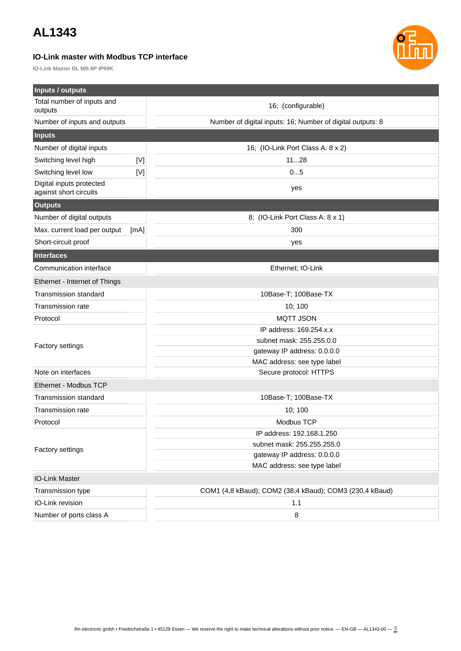### **IO-Link master with Modbus TCP interface**

**IO-Link Master DL MB 8P IP69K**



| Inputs / outputs                                   |      |                                                            |
|----------------------------------------------------|------|------------------------------------------------------------|
| Total number of inputs and<br>outputs              |      | 16; (configurable)                                         |
| Number of inputs and outputs                       |      | Number of digital inputs: 16; Number of digital outputs: 8 |
| <b>Inputs</b>                                      |      |                                                            |
| Number of digital inputs                           |      | 16; (IO-Link Port Class A: 8 x 2)                          |
| Switching level high                               | M    | 1128                                                       |
| Switching level low                                | [V]  | 05                                                         |
| Digital inputs protected<br>against short circuits |      | yes                                                        |
| <b>Outputs</b>                                     |      |                                                            |
| Number of digital outputs                          |      | 8; (IO-Link Port Class A: 8 x 1)                           |
| Max. current load per output                       | [mA] | 300                                                        |
| Short-circuit proof                                |      | yes                                                        |
| Interfaces                                         |      |                                                            |
| Communication interface                            |      | Ethernet; IO-Link                                          |
| Ethernet - Internet of Things                      |      |                                                            |
| <b>Transmission standard</b>                       |      | 10Base-T; 100Base-TX                                       |
| Transmission rate                                  |      | 10; 100                                                    |
| Protocol                                           |      | <b>MQTT JSON</b>                                           |
|                                                    |      | IP address: 169.254.x.x                                    |
|                                                    |      | subnet mask: 255.255.0.0                                   |
| Factory settings                                   |      | gateway IP address: 0.0.0.0                                |
|                                                    |      | MAC address: see type label                                |
| Note on interfaces                                 |      | Secure protocol: HTTPS                                     |
| Ethernet - Modbus TCP                              |      |                                                            |
| <b>Transmission standard</b>                       |      | 10Base-T; 100Base-TX                                       |
| <b>Transmission rate</b>                           |      | 10; 100                                                    |
| Protocol                                           |      | Modbus TCP                                                 |
| <b>Factory settings</b>                            |      | IP address: 192.168.1.250                                  |
|                                                    |      | subnet mask: 255.255.255.0                                 |
|                                                    |      | gateway IP address: 0.0.0.0                                |
|                                                    |      | MAC address: see type label                                |
| <b>IO-Link Master</b>                              |      |                                                            |
| Transmission type                                  |      | COM1 (4,8 kBaud); COM2 (38,4 kBaud); COM3 (230,4 kBaud)    |
| IO-Link revision                                   |      | 1.1                                                        |
| Number of ports class A                            |      | 8                                                          |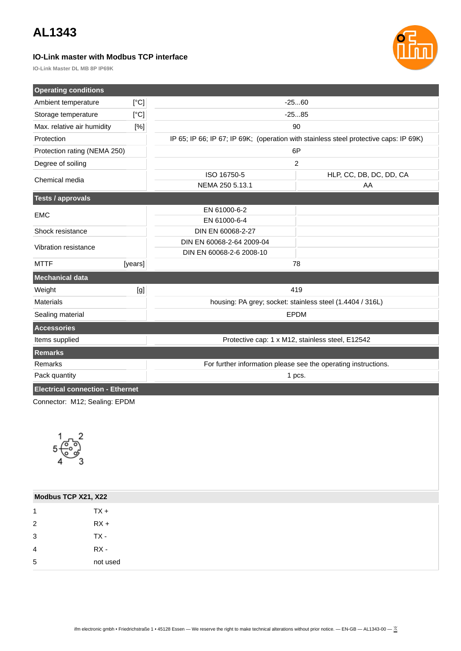### **IO-Link master with Modbus TCP interface**



**IO-Link Master DL MB 8P IP69K**

| <b>Operating conditions</b>             |         |                                                                                       |                                                  |  |
|-----------------------------------------|---------|---------------------------------------------------------------------------------------|--------------------------------------------------|--|
| Ambient temperature                     | [°C]    | $-2560$                                                                               |                                                  |  |
| Storage temperature                     | [°C]    | $-2585$                                                                               |                                                  |  |
| Max. relative air humidity              | [%]     | 90                                                                                    |                                                  |  |
| Protection                              |         | IP 65; IP 66; IP 67; IP 69K; (operation with stainless steel protective caps: IP 69K) |                                                  |  |
| Protection rating (NEMA 250)            |         | 6P                                                                                    |                                                  |  |
| Degree of soiling                       |         | $\overline{c}$                                                                        |                                                  |  |
| Chemical media                          |         | ISO 16750-5                                                                           | HLP, CC, DB, DC, DD, CA                          |  |
|                                         |         | NEMA 250 5.13.1                                                                       | AA                                               |  |
| <b>Tests / approvals</b>                |         |                                                                                       |                                                  |  |
| <b>EMC</b>                              |         | EN 61000-6-2                                                                          |                                                  |  |
|                                         |         | EN 61000-6-4                                                                          |                                                  |  |
| Shock resistance                        |         | DIN EN 60068-2-27                                                                     |                                                  |  |
| Vibration resistance                    |         | DIN EN 60068-2-64 2009-04                                                             |                                                  |  |
|                                         |         | DIN EN 60068-2-6 2008-10                                                              |                                                  |  |
| <b>MTTF</b>                             | [years] | 78                                                                                    |                                                  |  |
| <b>Mechanical data</b>                  |         |                                                                                       |                                                  |  |
| Weight                                  | [g]     | 419                                                                                   |                                                  |  |
| <b>Materials</b>                        |         | housing: PA grey; socket: stainless steel (1.4404 / 316L)                             |                                                  |  |
| Sealing material                        |         | <b>EPDM</b>                                                                           |                                                  |  |
| <b>Accessories</b>                      |         |                                                                                       |                                                  |  |
| Items supplied                          |         |                                                                                       | Protective cap: 1 x M12, stainless steel, E12542 |  |
| Remarks                                 |         |                                                                                       |                                                  |  |
| Remarks                                 |         | For further information please see the operating instructions.                        |                                                  |  |
| Pack quantity                           |         | 1 pcs.                                                                                |                                                  |  |
| <b>Electrical connection - Ethernet</b> |         |                                                                                       |                                                  |  |
| Connoctor: M12: Cooling: EDDM           |         |                                                                                       |                                                  |  |

Connector: M12; Sealing: EPDM



| Modbus TCP X21, X22 |          |
|---------------------|----------|
| 1                   | $TX +$   |
| $\overline{2}$      | $RX +$   |
| 3                   | TX -     |
| 4                   | RX -     |
| 5                   | not used |